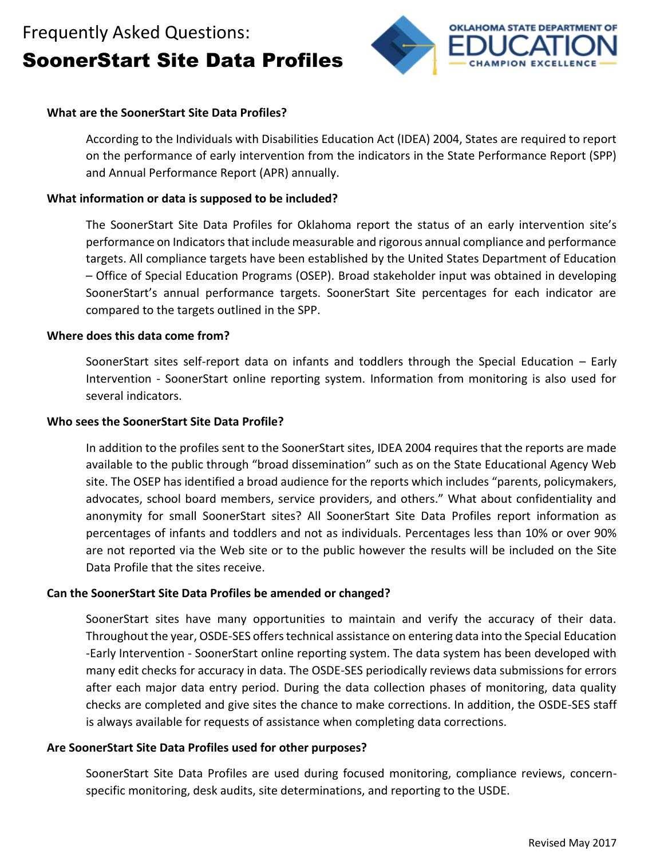# Frequently Asked Questions:

# SoonerStart Site Data Profiles



### **What are the SoonerStart Site Data Profiles?**

According to the Individuals with Disabilities Education Act (IDEA) 2004, States are required to report on the performance of early intervention from the indicators in the State Performance Report (SPP) and Annual Performance Report (APR) annually.

# **What information or data is supposed to be included?**

The SoonerStart Site Data Profiles for Oklahoma report the status of an early intervention site's performance on Indicators that include measurable and rigorous annual compliance and performance targets. All compliance targets have been established by the United States Department of Education – Office of Special Education Programs (OSEP). Broad stakeholder input was obtained in developing SoonerStart's annual performance targets. SoonerStart Site percentages for each indicator are compared to the targets outlined in the SPP.

## **Where does this data come from?**

SoonerStart sites self-report data on infants and toddlers through the Special Education – Early Intervention - SoonerStart online reporting system. Information from monitoring is also used for several indicators.

#### **Who sees the SoonerStart Site Data Profile?**

In addition to the profiles sent to the SoonerStart sites, IDEA 2004 requires that the reports are made available to the public through "broad dissemination" such as on the State Educational Agency Web site. The OSEP has identified a broad audience for the reports which includes "parents, policymakers, advocates, school board members, service providers, and others." What about confidentiality and anonymity for small SoonerStart sites? All SoonerStart Site Data Profiles report information as percentages of infants and toddlers and not as individuals. Percentages less than 10% or over 90% are not reported via the Web site or to the public however the results will be included on the Site Data Profile that the sites receive.

#### **Can the SoonerStart Site Data Profiles be amended or changed?**

SoonerStart sites have many opportunities to maintain and verify the accuracy of their data. Throughout the year, OSDE-SES offers technical assistance on entering data into the Special Education -Early Intervention - SoonerStart online reporting system. The data system has been developed with many edit checks for accuracy in data. The OSDE-SES periodically reviews data submissions for errors after each major data entry period. During the data collection phases of monitoring, data quality checks are completed and give sites the chance to make corrections. In addition, the OSDE-SES staff is always available for requests of assistance when completing data corrections.

#### **Are SoonerStart Site Data Profiles used for other purposes?**

SoonerStart Site Data Profiles are used during focused monitoring, compliance reviews, concernspecific monitoring, desk audits, site determinations, and reporting to the USDE.